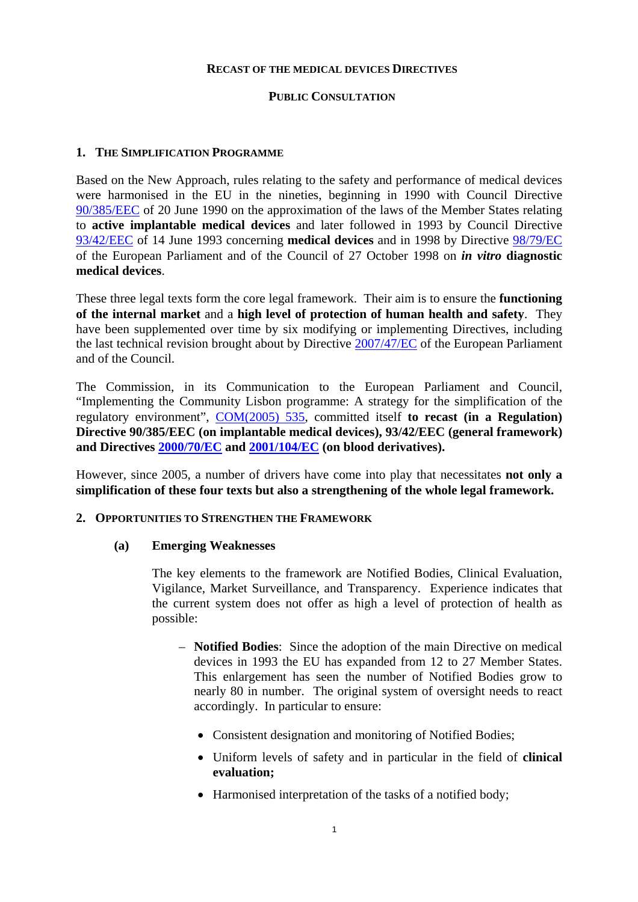#### **RECAST OF THE MEDICAL DEVICES DIRECTIVES**

#### **PUBLIC CONSULTATION**

#### **1. THE SIMPLIFICATION PROGRAMME**

Based on the New Approach, rules relating to the safety and performance of medical devices were harmonised in the EU in the nineties, beginning in 1990 with Council Directive [90/385/EEC](http://eur-lex.europa.eu/LexUriServ/LexUriServ.do?uri=CONSLEG:1990L0385:20071011:EN:PDF) of 20 June 1990 on the approximation of the laws of the Member States relating to **active implantable medical devices** and later followed in 1993 by Council Directive [93/42/EEC](http://eur-lex.europa.eu/LexUriServ/LexUriServ.do?uri=CONSLEG:1993L0042:20071011:EN:PDF) of 14 June 1993 concerning **medical devices** and in 1998 by Directive [98/79/EC](http://eur-lex.europa.eu/LexUriServ/LexUriServ.do?uri=CONSLEG:1998L0079:20031120:EN:PDF) of the European Parliament and of the Council of 27 October 1998 on *in vitro* **diagnostic medical devices**.

These three legal texts form the core legal framework. Their aim is to ensure the **functioning of the internal market** and a **high level of protection of human health and safety**. They have been supplemented over time by six modifying or implementing Directives, including the last technical revision brought about by Directive [2007/47/EC](http://eur-lex.europa.eu/LexUriServ/LexUriServ.do?uri=OJ:L:2007:247:0021:0055:EN:PDF) of the European Parliament and of the Council.

The Commission, in its Communication to the European Parliament and Council, "Implementing the Community Lisbon programme: A strategy for the simplification of the regulatory environment", [COM\(2005\) 535,](http://eur-lex.europa.eu/LexUriServ/LexUriServ.do?uri=COM:2005:0535:FIN:EN:PDF) committed itself **to recast (in a Regulation) Directive 90/385/EEC (on implantable medical devices), 93/42/EEC (general framework) and Directives [2000/70/EC](http://eur-lex.europa.eu/LexUriServ/LexUriServ.do?uri=OJ:L:2000:313:0022:0024:EN:PDF) an[d 2001/104/EC](http://eur-lex.europa.eu/LexUriServ/LexUriServ.do?uri=OJ:L:2002:006:0050:0051:EN:PDF) (on blood derivatives).** 

However, since 2005, a number of drivers have come into play that necessitates **not only a simplification of these four texts but also a strengthening of the whole legal framework.** 

#### **2. OPPORTUNITIES TO STRENGTHEN THE FRAMEWORK**

#### **(a) Emerging Weaknesses**

The key elements to the framework are Notified Bodies, Clinical Evaluation, Vigilance, Market Surveillance, and Transparency. Experience indicates that the current system does not offer as high a level of protection of health as possible:

- **Notified Bodies**: Since the adoption of the main Directive on medical devices in 1993 the EU has expanded from 12 to 27 Member States. This enlargement has seen the number of Notified Bodies grow to nearly 80 in number. The original system of oversight needs to react accordingly. In particular to ensure:
	- Consistent designation and monitoring of Notified Bodies;
	- Uniform levels of safety and in particular in the field of **clinical evaluation;**
	- Harmonised interpretation of the tasks of a notified body;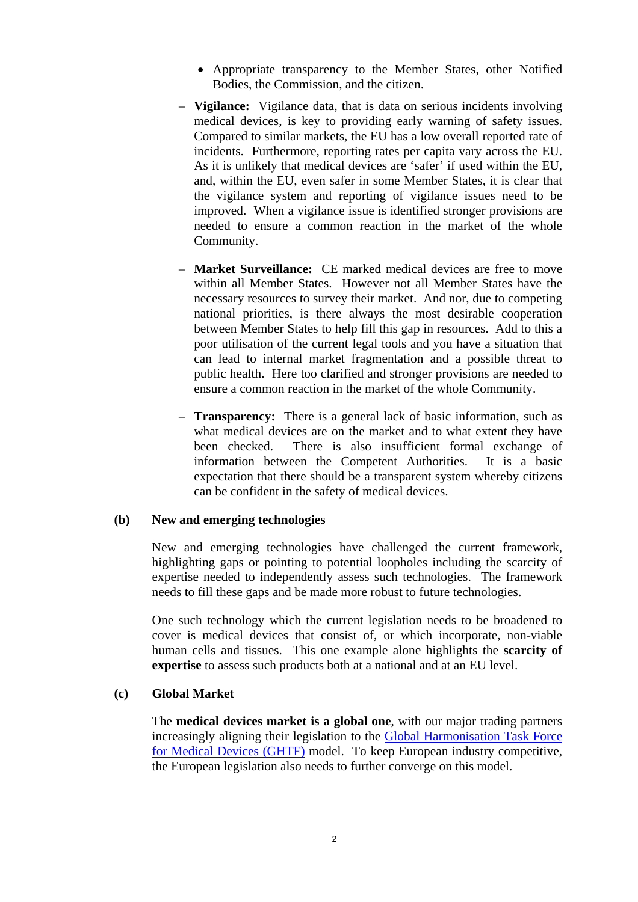- Appropriate transparency to the Member States, other Notified Bodies, the Commission, and the citizen.
- **Vigilance:** Vigilance data, that is data on serious incidents involving medical devices, is key to providing early warning of safety issues. Compared to similar markets, the EU has a low overall reported rate of incidents. Furthermore, reporting rates per capita vary across the EU. As it is unlikely that medical devices are 'safer' if used within the EU, and, within the EU, even safer in some Member States, it is clear that the vigilance system and reporting of vigilance issues need to be improved. When a vigilance issue is identified stronger provisions are needed to ensure a common reaction in the market of the whole Community.
- **Market Surveillance:** CE marked medical devices are free to move within all Member States. However not all Member States have the necessary resources to survey their market. And nor, due to competing national priorities, is there always the most desirable cooperation between Member States to help fill this gap in resources. Add to this a poor utilisation of the current legal tools and you have a situation that can lead to internal market fragmentation and a possible threat to public health. Here too clarified and stronger provisions are needed to ensure a common reaction in the market of the whole Community.
- **Transparency:** There is a general lack of basic information, such as what medical devices are on the market and to what extent they have been checked. There is also insufficient formal exchange of information between the Competent Authorities. It is a basic expectation that there should be a transparent system whereby citizens can be confident in the safety of medical devices.

#### **(b) New and emerging technologies**

New and emerging technologies have challenged the current framework, highlighting gaps or pointing to potential loopholes including the scarcity of expertise needed to independently assess such technologies. The framework needs to fill these gaps and be made more robust to future technologies.

One such technology which the current legislation needs to be broadened to cover is medical devices that consist of, or which incorporate, non-viable human cells and tissues. This one example alone highlights the **scarcity of expertise** to assess such products both at a national and at an EU level.

#### **(c) Global Market**

The **medical devices market is a global one**, with our major trading partners increasingly aligning their legislation to the [Global Harmonisation Task Force](http://www.ghtf.org/)  [for Medical Devices \(GHTF\)](http://www.ghtf.org/) model. To keep European industry competitive, the European legislation also needs to further converge on this model.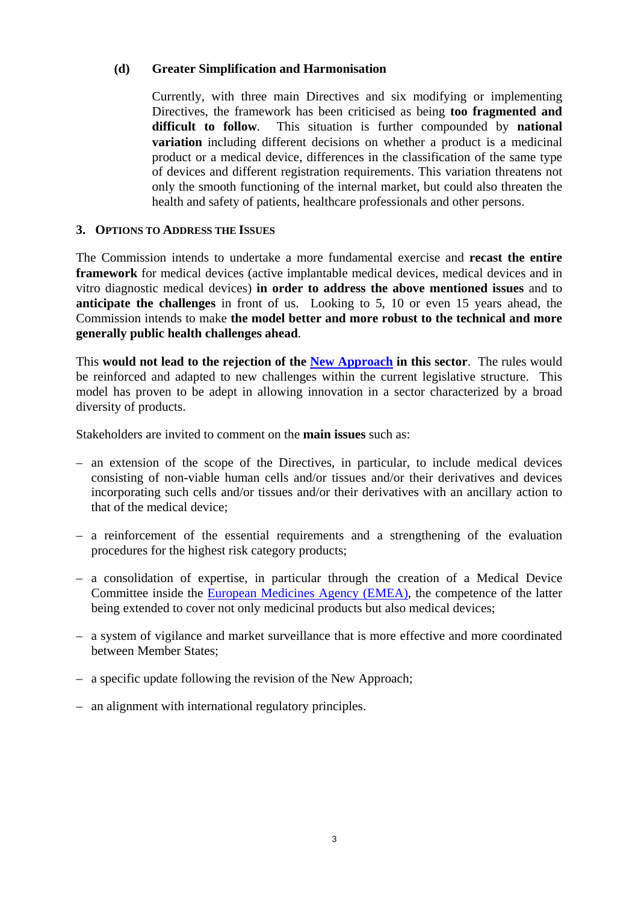#### **(d) Greater Simplification and Harmonisation**

Currently, with three main Directives and six modifying or implementing Directives, the framework has been criticised as being **too fragmented and difficult to follow**. This situation is further compounded by **national variation** including different decisions on whether a product is a medicinal product or a medical device, differences in the classification of the same type of devices and different registration requirements. This variation threatens not only the smooth functioning of the internal market, but could also threaten the health and safety of patients, healthcare professionals and other persons.

#### **3. OPTIONS TO ADDRESS THE ISSUES**

The Commission intends to undertake a more fundamental exercise and **recast the entire framework** for medical devices (active implantable medical devices, medical devices and in vitro diagnostic medical devices) **in order to address the above mentioned issues** and to **anticipate the challenges** in front of us. Looking to 5, 10 or even 15 years ahead, the Commission intends to make **the model better and more robust to the technical and more generally public health challenges ahead**.

This **would not lead to the rejection of the New Approach** in this sector. The rules would be reinforced and adapted to new challenges within the current legislative structure. This model has proven to be adept in allowing innovation in a sector characterized by a broad diversity of products.

Stakeholders are invited to comment on the **main issues** such as:

- an extension of the scope of the Directives, in particular, to include medical devices consisting of non-viable human cells and/or tissues and/or their derivatives and devices incorporating such cells and/or tissues and/or their derivatives with an ancillary action to that of the medical device;
- a reinforcement of the essential requirements and a strengthening of the evaluation procedures for the highest risk category products;
- a consolidation of expertise, in particular through the creation of a Medical Device Committee inside the [European Medicines Agency \(EMEA\),](http://www.emea.europa.eu/) the competence of the latter being extended to cover not only medicinal products but also medical devices;
- a system of vigilance and market surveillance that is more effective and more coordinated between Member States;
- a specific update following the revision of the New Approach;
- an alignment with international regulatory principles.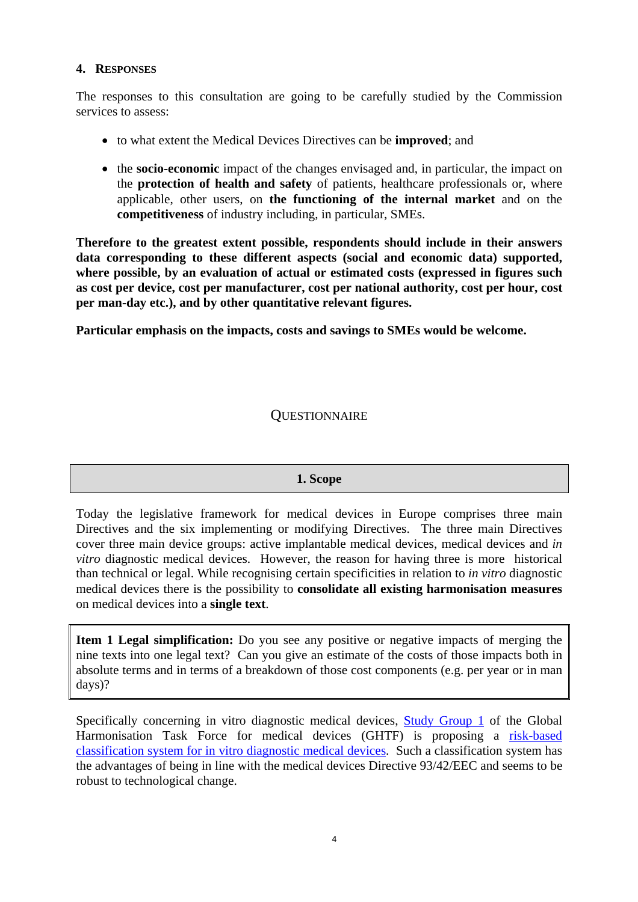#### **4. RESPONSES**

The responses to this consultation are going to be carefully studied by the Commission services to assess:

- to what extent the Medical Devices Directives can be **improved**; and
- the **socio-economic** impact of the changes envisaged and, in particular, the impact on the **protection of health and safety** of patients, healthcare professionals or, where applicable, other users, on **the functioning of the internal market** and on the **competitiveness** of industry including, in particular, SMEs.

**Therefore to the greatest extent possible, respondents should include in their answers data corresponding to these different aspects (social and economic data) supported, where possible, by an evaluation of actual or estimated costs (expressed in figures such as cost per device, cost per manufacturer, cost per national authority, cost per hour, cost per man-day etc.), and by other quantitative relevant figures.** 

**Particular emphasis on the impacts, costs and savings to SMEs would be welcome.** 

## **QUESTIONNAIRE**

#### **1. Scope**

Today the legislative framework for medical devices in Europe comprises three main Directives and the six implementing or modifying Directives. The three main Directives cover three main device groups: active implantable medical devices, medical devices and *in vitro* diagnostic medical devices. However, the reason for having three is more historical than technical or legal. While recognising certain specificities in relation to *in vitro* diagnostic medical devices there is the possibility to **consolidate all existing harmonisation measures** on medical devices into a **single text**.

**Item 1 Legal simplification:** Do you see any positive or negative impacts of merging the nine texts into one legal text? Can you give an estimate of the costs of those impacts both in absolute terms and in terms of a breakdown of those cost components (e.g. per year or in man days)?

Specifically concerning in vitro diagnostic medical devices, [Study Group 1](http://www.ghtf.org/sg1/) of the Global Harmonisation Task Force for medical devices (GHTF) is proposing a [risk-based](http://www.ghtf.org/documents/sg1/SG1-PD-N45-R12.pdf)  [classification system for in vitro diagnostic medical devices.](http://www.ghtf.org/documents/sg1/SG1-PD-N45-R12.pdf) Such a classification system has the advantages of being in line with the medical devices Directive 93/42/EEC and seems to be robust to technological change.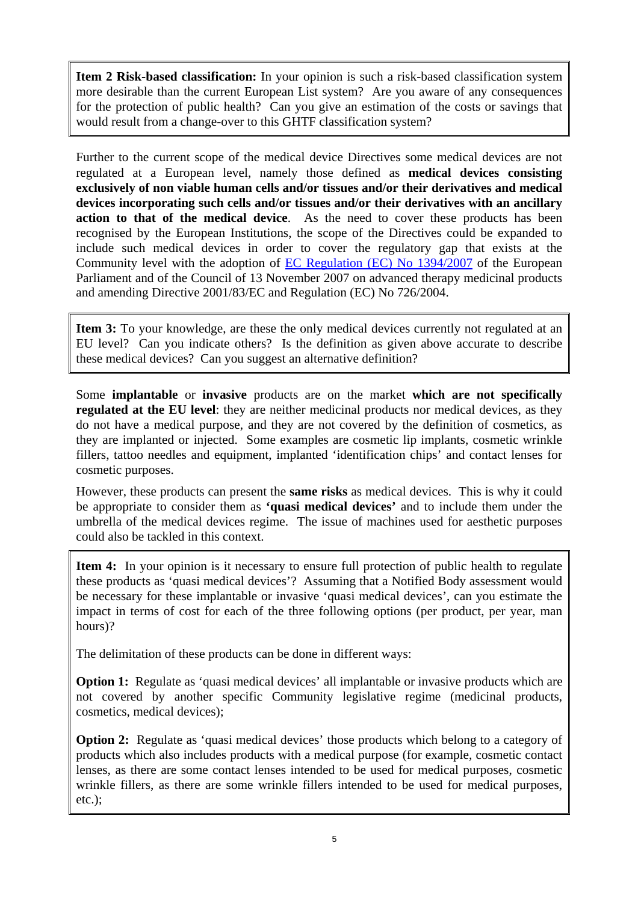**Item 2 Risk-based classification:** In your opinion is such a risk-based classification system more desirable than the current European List system? Are you aware of any consequences for the protection of public health? Can you give an estimation of the costs or savings that would result from a change-over to this GHTF classification system?

Further to the current scope of the medical device Directives some medical devices are not regulated at a European level, namely those defined as **medical devices consisting exclusively of non viable human cells and/or tissues and/or their derivatives and medical devices incorporating such cells and/or tissues and/or their derivatives with an ancillary action to that of the medical device**. As the need to cover these products has been recognised by the European Institutions, the scope of the Directives could be expanded to include such medical devices in order to cover the regulatory gap that exists at the Community level with the adoption of [EC Regulation \(EC\) No 1394/2007](http://ec.europa.eu/enterprise/pharmaceuticals/advtherapies/advanced_en.htm) of the European Parliament and of the Council of 13 November 2007 on advanced therapy medicinal products and amending Directive 2001/83/EC and Regulation (EC) No 726/2004.

Item 3: To your knowledge, are these the only medical devices currently not regulated at an EU level? Can you indicate others? Is the definition as given above accurate to describe these medical devices? Can you suggest an alternative definition?

Some **implantable** or **invasive** products are on the market **which are not specifically regulated at the EU level**: they are neither medicinal products nor medical devices, as they do not have a medical purpose, and they are not covered by the definition of cosmetics, as they are implanted or injected. Some examples are cosmetic lip implants, cosmetic wrinkle fillers, tattoo needles and equipment, implanted 'identification chips' and contact lenses for cosmetic purposes.

However, these products can present the **same risks** as medical devices. This is why it could be appropriate to consider them as **'quasi medical devices'** and to include them under the umbrella of the medical devices regime. The issue of machines used for aesthetic purposes could also be tackled in this context.

**Item 4:** In your opinion is it necessary to ensure full protection of public health to regulate these products as 'quasi medical devices'? Assuming that a Notified Body assessment would be necessary for these implantable or invasive 'quasi medical devices', can you estimate the impact in terms of cost for each of the three following options (per product, per year, man hours)?

The delimitation of these products can be done in different ways:

**Option 1:** Regulate as 'quasi medical devices' all implantable or invasive products which are not covered by another specific Community legislative regime (medicinal products, cosmetics, medical devices);

**Option 2:** Regulate as 'quasi medical devices' those products which belong to a category of products which also includes products with a medical purpose (for example, cosmetic contact lenses, as there are some contact lenses intended to be used for medical purposes, cosmetic wrinkle fillers, as there are some wrinkle fillers intended to be used for medical purposes, etc.);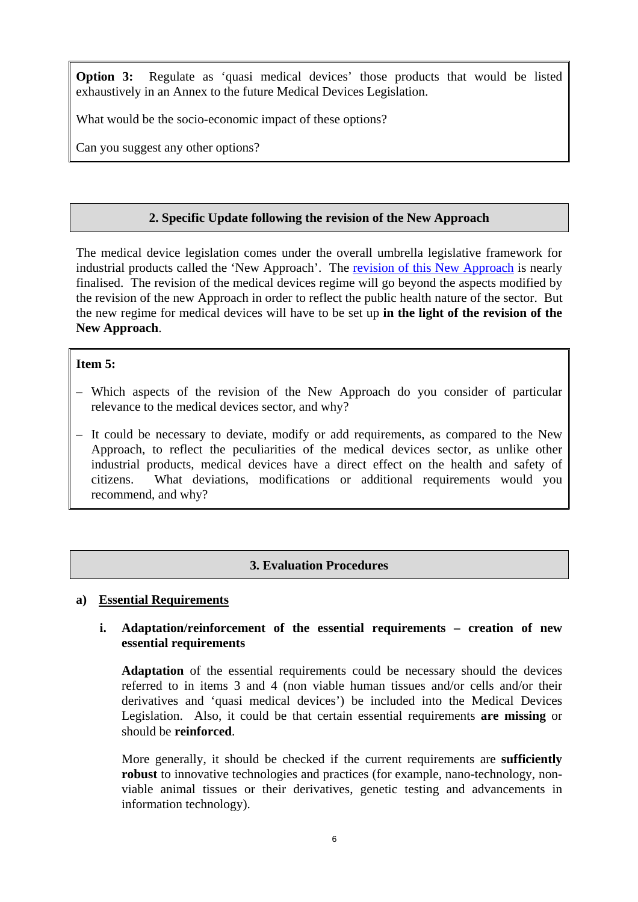**Option 3:** Regulate as 'quasi medical devices' those products that would be listed exhaustively in an Annex to the future Medical Devices Legislation.

What would be the socio-economic impact of these options?

Can you suggest any other options?

## **2. Specific Update following the revision of the New Approach**

The medical device legislation comes under the overall umbrella legislative framework for industrial products called the 'New Approach'. The [revision of this New Approach](http://europa.eu/rapid/pressReleasesAction.do?reference=IP/08/276&format=HTML&aged=0&language=EN&guiLanguage=en) is nearly finalised. The revision of the medical devices regime will go beyond the aspects modified by the revision of the new Approach in order to reflect the public health nature of the sector. But the new regime for medical devices will have to be set up **in the light of the revision of the New Approach**.

#### **Item 5:**

- Which aspects of the revision of the New Approach do you consider of particular relevance to the medical devices sector, and why?
- It could be necessary to deviate, modify or add requirements, as compared to the New Approach, to reflect the peculiarities of the medical devices sector, as unlike other industrial products, medical devices have a direct effect on the health and safety of citizens. What deviations, modifications or additional requirements would you recommend, and why?

## **3. Evaluation Procedures**

#### **a) Essential Requirements**

#### **i. Adaptation/reinforcement of the essential requirements – creation of new essential requirements**

**Adaptation** of the essential requirements could be necessary should the devices referred to in items 3 and 4 (non viable human tissues and/or cells and/or their derivatives and 'quasi medical devices') be included into the Medical Devices Legislation. Also, it could be that certain essential requirements **are missing** or should be **reinforced**.

More generally, it should be checked if the current requirements are **sufficiently robust** to innovative technologies and practices (for example, nano-technology, nonviable animal tissues or their derivatives, genetic testing and advancements in information technology).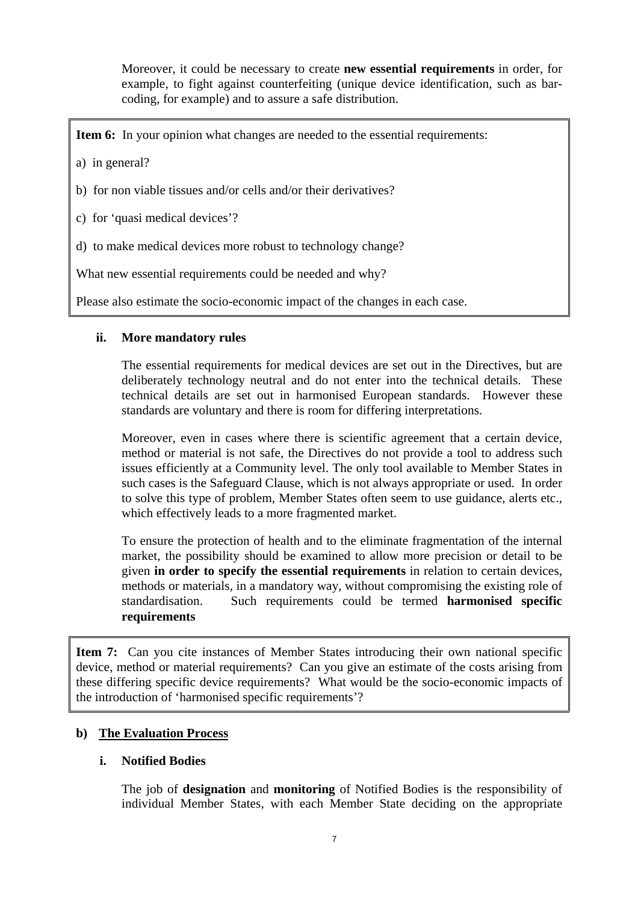Moreover, it could be necessary to create **new essential requirements** in order, for example, to fight against counterfeiting (unique device identification, such as barcoding, for example) and to assure a safe distribution.

**Item 6:** In your opinion what changes are needed to the essential requirements:

- a) in general?
- b) for non viable tissues and/or cells and/or their derivatives?
- c) for 'quasi medical devices'?
- d) to make medical devices more robust to technology change?

What new essential requirements could be needed and why?

Please also estimate the socio-economic impact of the changes in each case.

#### **ii. More mandatory rules**

The essential requirements for medical devices are set out in the Directives, but are deliberately technology neutral and do not enter into the technical details. These technical details are set out in harmonised European standards. However these standards are voluntary and there is room for differing interpretations.

Moreover, even in cases where there is scientific agreement that a certain device, method or material is not safe, the Directives do not provide a tool to address such issues efficiently at a Community level. The only tool available to Member States in such cases is the Safeguard Clause, which is not always appropriate or used. In order to solve this type of problem, Member States often seem to use guidance, alerts etc., which effectively leads to a more fragmented market.

To ensure the protection of health and to the eliminate fragmentation of the internal market, the possibility should be examined to allow more precision or detail to be given **in order to specify the essential requirements** in relation to certain devices, methods or materials, in a mandatory way, without compromising the existing role of standardisation. Such requirements could be termed **harmonised specific requirements**

**Item 7:** Can you cite instances of Member States introducing their own national specific device, method or material requirements? Can you give an estimate of the costs arising from these differing specific device requirements? What would be the socio-economic impacts of the introduction of 'harmonised specific requirements'?

## **b) The Evaluation Process**

#### **i. Notified Bodies**

The job of **designation** and **monitoring** of Notified Bodies is the responsibility of individual Member States, with each Member State deciding on the appropriate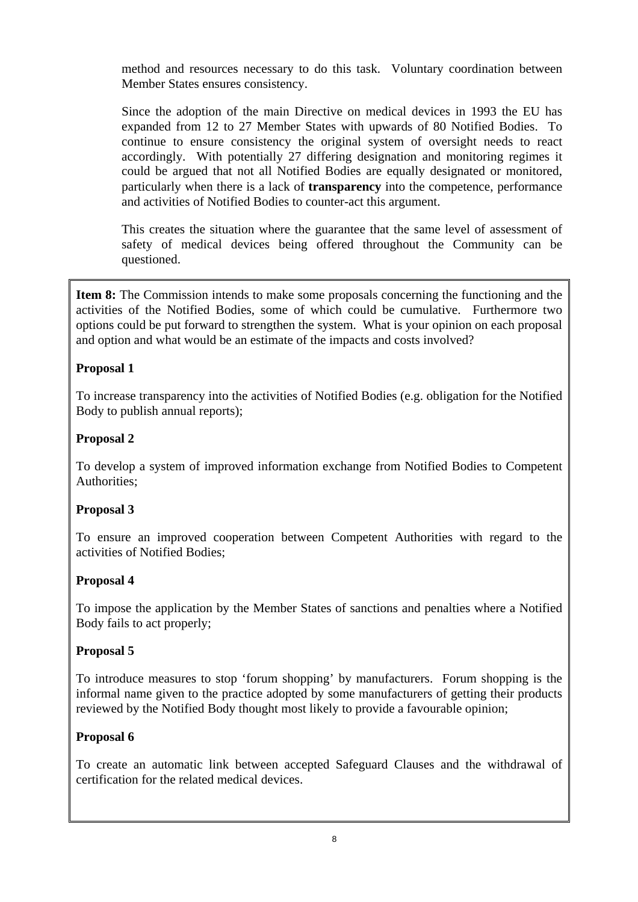method and resources necessary to do this task. Voluntary coordination between Member States ensures consistency.

Since the adoption of the main Directive on medical devices in 1993 the EU has expanded from 12 to 27 Member States with upwards of 80 Notified Bodies. To continue to ensure consistency the original system of oversight needs to react accordingly. With potentially 27 differing designation and monitoring regimes it could be argued that not all Notified Bodies are equally designated or monitored, particularly when there is a lack of **transparency** into the competence, performance and activities of Notified Bodies to counter-act this argument.

This creates the situation where the guarantee that the same level of assessment of safety of medical devices being offered throughout the Community can be questioned.

**Item 8:** The Commission intends to make some proposals concerning the functioning and the activities of the Notified Bodies, some of which could be cumulative. Furthermore two options could be put forward to strengthen the system. What is your opinion on each proposal and option and what would be an estimate of the impacts and costs involved?

## **Proposal 1**

To increase transparency into the activities of Notified Bodies (e.g. obligation for the Notified Body to publish annual reports);

## **Proposal 2**

To develop a system of improved information exchange from Notified Bodies to Competent Authorities;

## **Proposal 3**

To ensure an improved cooperation between Competent Authorities with regard to the activities of Notified Bodies;

## **Proposal 4**

To impose the application by the Member States of sanctions and penalties where a Notified Body fails to act properly;

## **Proposal 5**

To introduce measures to stop 'forum shopping' by manufacturers. Forum shopping is the informal name given to the practice adopted by some manufacturers of getting their products reviewed by the Notified Body thought most likely to provide a favourable opinion;

## **Proposal 6**

To create an automatic link between accepted Safeguard Clauses and the withdrawal of certification for the related medical devices.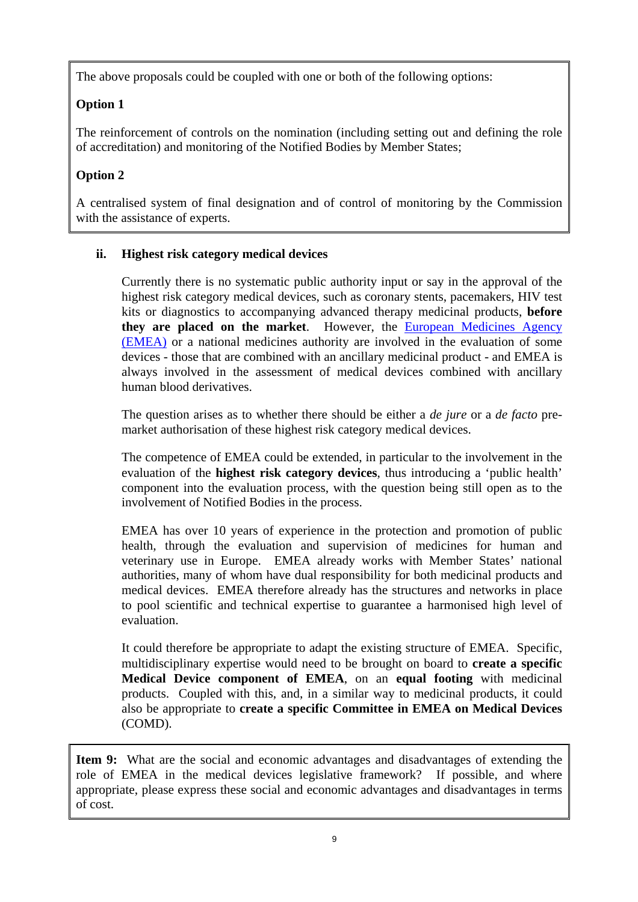The above proposals could be coupled with one or both of the following options:

# **Option 1**

The reinforcement of controls on the nomination (including setting out and defining the role of accreditation) and monitoring of the Notified Bodies by Member States;

# **Option 2**

A centralised system of final designation and of control of monitoring by the Commission with the assistance of experts.

# **ii. Highest risk category medical devices**

Currently there is no systematic public authority input or say in the approval of the highest risk category medical devices, such as coronary stents, pacemakers, HIV test kits or diagnostics to accompanying advanced therapy medicinal products, **before they are placed on the market**. However, the [European Medicines Agency](http://www.emea.europa.eu/)  [\(EMEA\)](http://www.emea.europa.eu/) or a national medicines authority are involved in the evaluation of some devices - those that are combined with an ancillary medicinal product - and EMEA is always involved in the assessment of medical devices combined with ancillary human blood derivatives.

The question arises as to whether there should be either a *de jure* or a *de facto* premarket authorisation of these highest risk category medical devices.

The competence of EMEA could be extended, in particular to the involvement in the evaluation of the **highest risk category devices**, thus introducing a 'public health' component into the evaluation process, with the question being still open as to the involvement of Notified Bodies in the process.

EMEA has over 10 years of experience in the protection and promotion of public health, through the evaluation and supervision of medicines for human and veterinary use in Europe. EMEA already works with Member States' national authorities, many of whom have dual responsibility for both medicinal products and medical devices. EMEA therefore already has the structures and networks in place to pool scientific and technical expertise to guarantee a harmonised high level of evaluation.

It could therefore be appropriate to adapt the existing structure of EMEA. Specific, multidisciplinary expertise would need to be brought on board to **create a specific Medical Device component of EMEA**, on an **equal footing** with medicinal products. Coupled with this, and, in a similar way to medicinal products, it could also be appropriate to **create a specific Committee in EMEA on Medical Devices**  (COMD).

**Item 9:** What are the social and economic advantages and disadvantages of extending the role of EMEA in the medical devices legislative framework? If possible, and where appropriate, please express these social and economic advantages and disadvantages in terms of cost.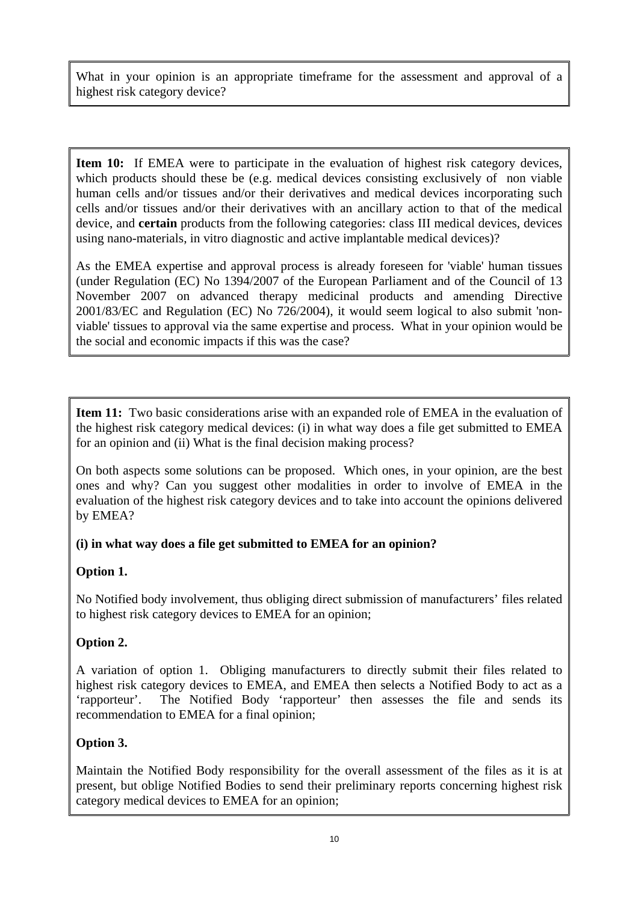What in your opinion is an appropriate timeframe for the assessment and approval of a highest risk category device?

**Item 10:** If EMEA were to participate in the evaluation of highest risk category devices, which products should these be (e.g. medical devices consisting exclusively of non viable human cells and/or tissues and/or their derivatives and medical devices incorporating such cells and/or tissues and/or their derivatives with an ancillary action to that of the medical device, and **certain** products from the following categories: class III medical devices, devices using nano-materials, in vitro diagnostic and active implantable medical devices)?

As the EMEA expertise and approval process is already foreseen for 'viable' human tissues (under Regulation (EC) No 1394/2007 of the European Parliament and of the Council of 13 November 2007 on advanced therapy medicinal products and amending Directive 2001/83/EC and Regulation (EC) No 726/2004), it would seem logical to also submit 'nonviable' tissues to approval via the same expertise and process. What in your opinion would be the social and economic impacts if this was the case?

**Item 11:** Two basic considerations arise with an expanded role of EMEA in the evaluation of the highest risk category medical devices: (i) in what way does a file get submitted to EMEA for an opinion and (ii) What is the final decision making process?

On both aspects some solutions can be proposed. Which ones, in your opinion, are the best ones and why? Can you suggest other modalities in order to involve of EMEA in the evaluation of the highest risk category devices and to take into account the opinions delivered by EMEA?

## **(i) in what way does a file get submitted to EMEA for an opinion?**

## **Option 1.**

No Notified body involvement, thus obliging direct submission of manufacturers' files related to highest risk category devices to EMEA for an opinion;

# **Option 2.**

A variation of option 1. Obliging manufacturers to directly submit their files related to highest risk category devices to EMEA, and EMEA then selects a Notified Body to act as a 'rapporteur'. The Notified Body 'rapporteur' then assesses the file and sends its recommendation to EMEA for a final opinion;

# **Option 3.**

Maintain the Notified Body responsibility for the overall assessment of the files as it is at present, but oblige Notified Bodies to send their preliminary reports concerning highest risk category medical devices to EMEA for an opinion;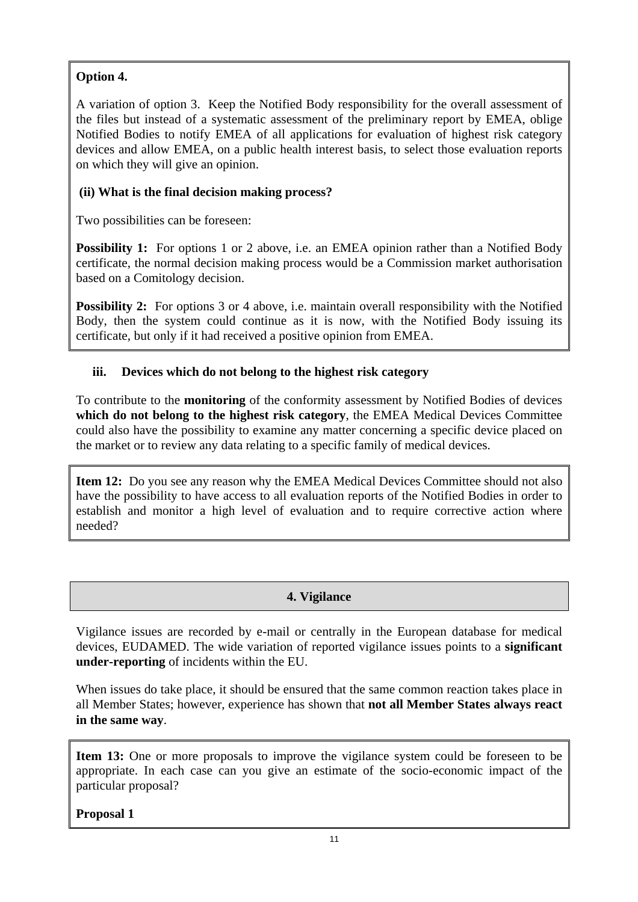# **Option 4.**

A variation of option 3. Keep the Notified Body responsibility for the overall assessment of the files but instead of a systematic assessment of the preliminary report by EMEA, oblige Notified Bodies to notify EMEA of all applications for evaluation of highest risk category devices and allow EMEA, on a public health interest basis, to select those evaluation reports on which they will give an opinion.

# **(ii) What is the final decision making process?**

Two possibilities can be foreseen:

**Possibility 1:** For options 1 or 2 above, i.e. an EMEA opinion rather than a Notified Body certificate, the normal decision making process would be a Commission market authorisation based on a Comitology decision.

**Possibility 2:** For options 3 or 4 above, i.e. maintain overall responsibility with the Notified Body, then the system could continue as it is now, with the Notified Body issuing its certificate, but only if it had received a positive opinion from EMEA.

# **iii. Devices which do not belong to the highest risk category**

To contribute to the **monitoring** of the conformity assessment by Notified Bodies of devices **which do not belong to the highest risk category**, the EMEA Medical Devices Committee could also have the possibility to examine any matter concerning a specific device placed on the market or to review any data relating to a specific family of medical devices.

**Item 12:** Do you see any reason why the EMEA Medical Devices Committee should not also have the possibility to have access to all evaluation reports of the Notified Bodies in order to establish and monitor a high level of evaluation and to require corrective action where needed?

# **4. Vigilance**

Vigilance issues are recorded by e-mail or centrally in the European database for medical devices, EUDAMED. The wide variation of reported vigilance issues points to a **significant under-reporting** of incidents within the EU.

When issues do take place, it should be ensured that the same common reaction takes place in all Member States; however, experience has shown that **not all Member States always react in the same way**.

**Item 13:** One or more proposals to improve the vigilance system could be foreseen to be appropriate. In each case can you give an estimate of the socio-economic impact of the particular proposal?

**Proposal 1**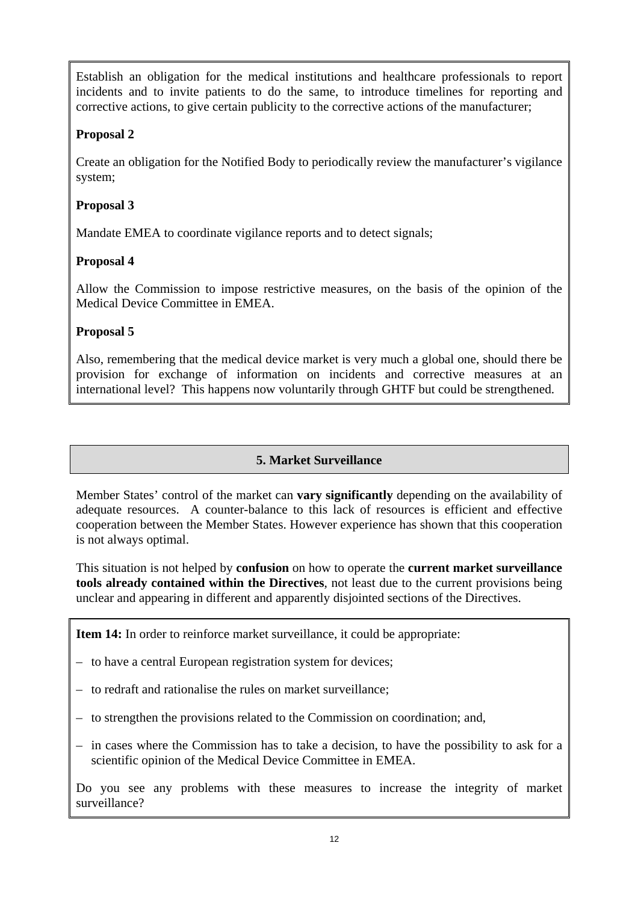Establish an obligation for the medical institutions and healthcare professionals to report incidents and to invite patients to do the same, to introduce timelines for reporting and corrective actions, to give certain publicity to the corrective actions of the manufacturer;

## **Proposal 2**

Create an obligation for the Notified Body to periodically review the manufacturer's vigilance system;

## **Proposal 3**

Mandate EMEA to coordinate vigilance reports and to detect signals;

## **Proposal 4**

Allow the Commission to impose restrictive measures, on the basis of the opinion of the Medical Device Committee in EMEA.

## **Proposal 5**

Also, remembering that the medical device market is very much a global one, should there be provision for exchange of information on incidents and corrective measures at an international level? This happens now voluntarily through GHTF but could be strengthened.

## **5. Market Surveillance**

Member States' control of the market can **vary significantly** depending on the availability of adequate resources. A counter-balance to this lack of resources is efficient and effective cooperation between the Member States. However experience has shown that this cooperation is not always optimal.

This situation is not helped by **confusion** on how to operate the **current market surveillance tools already contained within the Directives**, not least due to the current provisions being unclear and appearing in different and apparently disjointed sections of the Directives.

**Item 14:** In order to reinforce market surveillance, it could be appropriate:

- to have a central European registration system for devices;
- to redraft and rationalise the rules on market surveillance;
- to strengthen the provisions related to the Commission on coordination; and,
- in cases where the Commission has to take a decision, to have the possibility to ask for a scientific opinion of the Medical Device Committee in EMEA.

Do you see any problems with these measures to increase the integrity of market surveillance?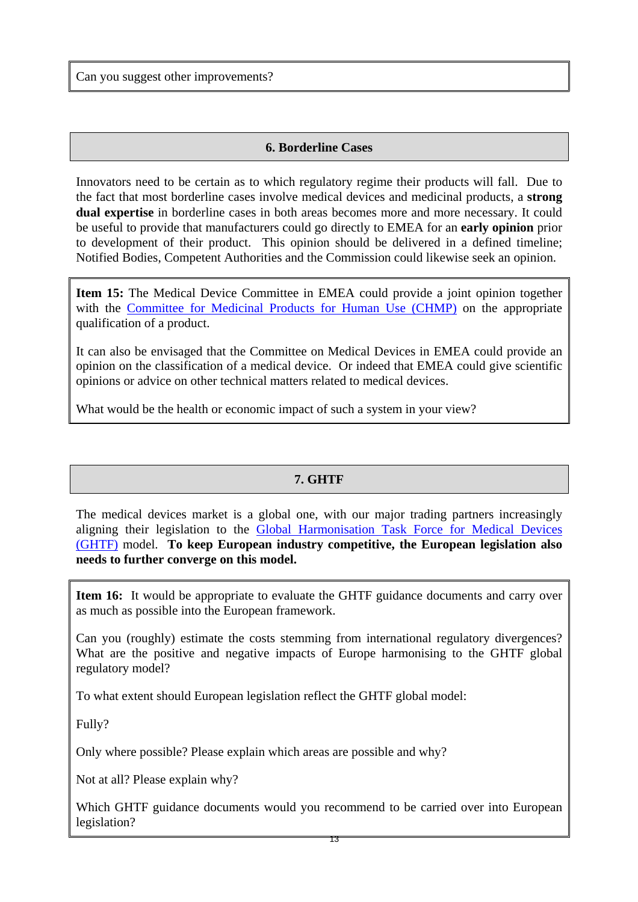Can you suggest other improvements?

#### **6. Borderline Cases**

Innovators need to be certain as to which regulatory regime their products will fall. Due to the fact that most borderline cases involve medical devices and medicinal products, a **strong dual expertise** in borderline cases in both areas becomes more and more necessary. It could be useful to provide that manufacturers could go directly to EMEA for an **early opinion** prior to development of their product. This opinion should be delivered in a defined timeline; Notified Bodies, Competent Authorities and the Commission could likewise seek an opinion.

**Item 15:** The Medical Device Committee in EMEA could provide a joint opinion together with the [Committee for Medicinal Products for Human Use \(CHMP\)](http://www.emea.europa.eu/htms/general/contacts/CHMP/CHMP.html) on the appropriate qualification of a product.

It can also be envisaged that the Committee on Medical Devices in EMEA could provide an opinion on the classification of a medical device. Or indeed that EMEA could give scientific opinions or advice on other technical matters related to medical devices.

What would be the health or economic impact of such a system in your view?

## **7. GHTF**

The medical devices market is a global one, with our major trading partners increasingly aligning their legislation to the [Global Harmonisation Task Force for Medical Devices](http://www.ghtf.org/)  [\(GHTF\)](http://www.ghtf.org/) model. **To keep European industry competitive, the European legislation also needs to further converge on this model.**

**Item 16:** It would be appropriate to evaluate the GHTF guidance documents and carry over as much as possible into the European framework.

Can you (roughly) estimate the costs stemming from international regulatory divergences? What are the positive and negative impacts of Europe harmonising to the GHTF global regulatory model?

To what extent should European legislation reflect the GHTF global model:

Fully?

Only where possible? Please explain which areas are possible and why?

Not at all? Please explain why?

Which GHTF guidance documents would you recommend to be carried over into European legislation?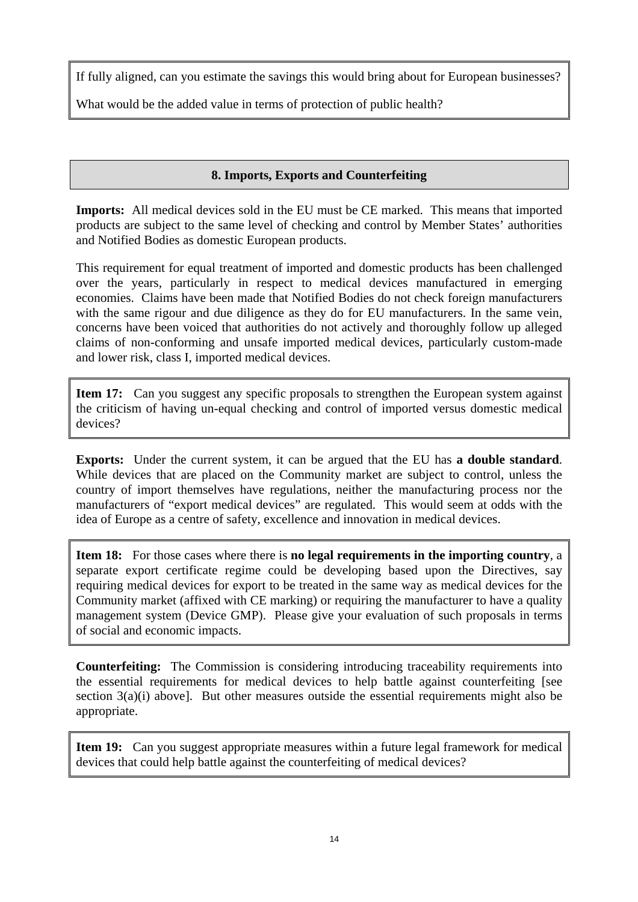If fully aligned, can you estimate the savings this would bring about for European businesses?

What would be the added value in terms of protection of public health?

# **8. Imports, Exports and Counterfeiting**

**Imports:** All medical devices sold in the EU must be CE marked. This means that imported products are subject to the same level of checking and control by Member States' authorities and Notified Bodies as domestic European products.

This requirement for equal treatment of imported and domestic products has been challenged over the years, particularly in respect to medical devices manufactured in emerging economies. Claims have been made that Notified Bodies do not check foreign manufacturers with the same rigour and due diligence as they do for EU manufacturers. In the same vein, concerns have been voiced that authorities do not actively and thoroughly follow up alleged claims of non-conforming and unsafe imported medical devices, particularly custom-made and lower risk, class I, imported medical devices.

**Item 17:** Can you suggest any specific proposals to strengthen the European system against the criticism of having un-equal checking and control of imported versus domestic medical devices?

**Exports:** Under the current system, it can be argued that the EU has **a double standard**. While devices that are placed on the Community market are subject to control, unless the country of import themselves have regulations, neither the manufacturing process nor the manufacturers of "export medical devices" are regulated. This would seem at odds with the idea of Europe as a centre of safety, excellence and innovation in medical devices.

**Item 18:** For those cases where there is **no legal requirements in the importing country**, a separate export certificate regime could be developing based upon the Directives, say requiring medical devices for export to be treated in the same way as medical devices for the Community market (affixed with CE marking) or requiring the manufacturer to have a quality management system (Device GMP). Please give your evaluation of such proposals in terms of social and economic impacts.

**Counterfeiting:** The Commission is considering introducing traceability requirements into the essential requirements for medical devices to help battle against counterfeiting [see section 3(a)(i) above]. But other measures outside the essential requirements might also be appropriate.

**Item 19:** Can you suggest appropriate measures within a future legal framework for medical devices that could help battle against the counterfeiting of medical devices?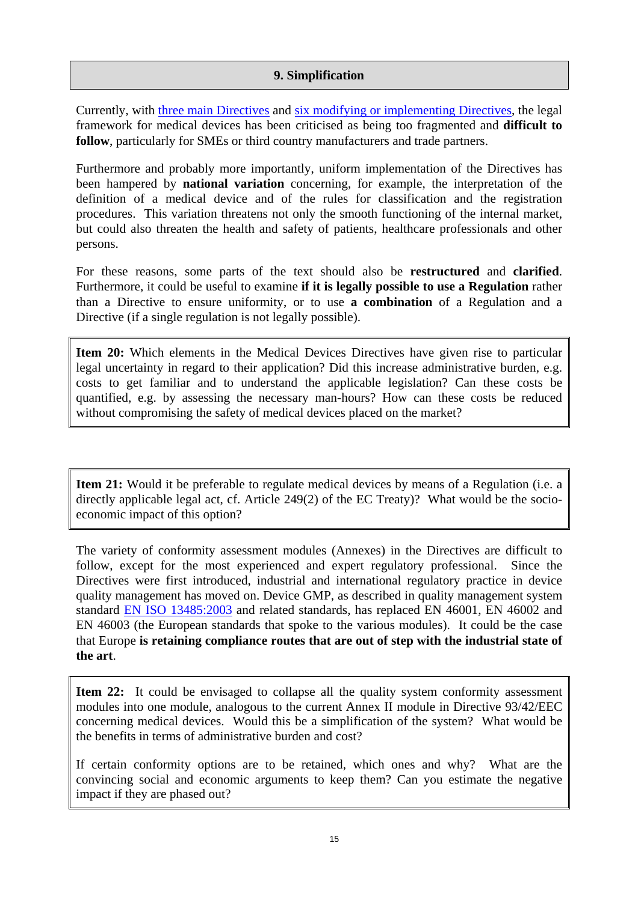#### **9. Simplification**

Currently, with [three main Directives](http://ec.europa.eu/growth/sectors/medical-devices/regulatory-framework/index_en.htm) and [six modifying or implementing Directives](http://ec.europa.eu/growth/sectors/medical-devices/regulatory-framework/index_en.htm), the legal framework for medical devices has been criticised as being too fragmented and **difficult to follow**, particul[arly for SMEs or third](http://ec.europa.eu/enterprise/medical_devices/legislation_en.htm) co[untry manufacturers and trade partners.](http://ec.europa.eu/enterprise/medical_devices/implementation_en.htm) 

Furthermore and probably more importantly, uniform implementation of the Directives has been hampered by **national variation** concerning, for example, the interpretation of the definition of a medical device and of the rules for classification and the registration procedures. This variation threatens not only the smooth functioning of the internal market, but could also threaten the health and safety of patients, healthcare professionals and other persons.

For these reasons, some parts of the text should also be **restructured** and **clarified**. Furthermore, it could be useful to examine **if it is legally possible to use a Regulation** rather than a Directive to ensure uniformity, or to use **a combination** of a Regulation and a Directive (if a single regulation is not legally possible).

**Item 20:** Which elements in the Medical Devices Directives have given rise to particular legal uncertainty in regard to their application? Did this increase administrative burden, e.g. costs to get familiar and to understand the applicable legislation? Can these costs be quantified, e.g. by assessing the necessary man-hours? How can these costs be reduced without compromising the safety of medical devices placed on the market?

**Item 21:** Would it be preferable to regulate medical devices by means of a Regulation (i.e. a directly applicable legal act, cf. Article 249(2) of the EC Treaty)? What would be the socioeconomic impact of this option?

The variety of conformity assessment modules (Annexes) in the Directives are difficult to follow, except for the most experienced and expert regulatory professional. Since the Directives were first introduced, industrial and international regulatory practice in device quality management has moved on. Device GMP, as described in quality management system standard [EN ISO 13485:2003](http://ec.europa.eu/growth/single-market/european-standards/harmonised-standards/medical-devices/index_en.htm) and related standards, has replaced EN 46001, EN 46002 and EN 46003 (the European standards that spoke to the various modules). It could be the case that Europe **[is retaining compl](http://ec.europa.eu/enterprise/newapproach/standardization/harmstds/reflist/meddevic.html)iance routes that are out of step with the industrial state of the art**.

**Item 22:** It could be envisaged to collapse all the quality system conformity assessment modules into one module, analogous to the current Annex II module in Directive 93/42/EEC concerning medical devices. Would this be a simplification of the system? What would be the benefits in terms of administrative burden and cost?

If certain conformity options are to be retained, which ones and why? What are the convincing social and economic arguments to keep them? Can you estimate the negative impact if they are phased out?